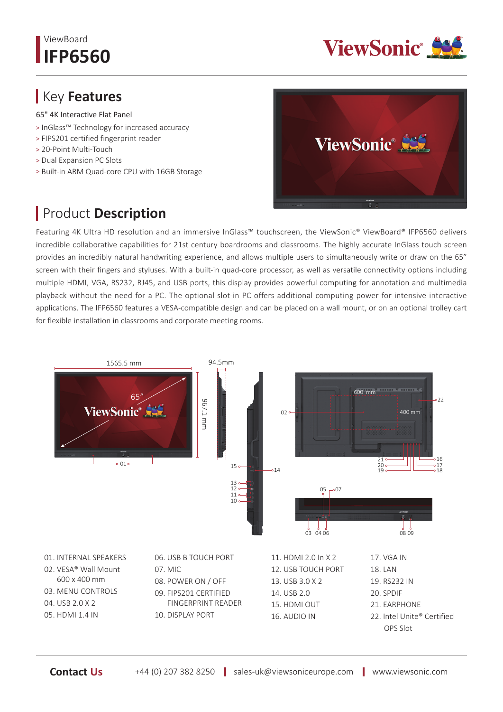## ViewBoard **IFP6560**



## Key **Features**

65" 4K Interactive Flat Panel

- ˃ InGlass™ Technology for increased accuracy
- ˃ FIPS201 certified fingerprint reader
- ˃ 20-Point Multi-Touch
- ˃ Dual Expansion PC Slots
- ˃ Built-in ARM Quad-core CPU with 16GB Storage

## Product **Description**



Featuring 4K Ultra HD resolution and an immersive InGlass™ touchscreen, the ViewSonic® ViewBoard® IFP6560 delivers incredible collaborative capabilities for 21st century boardrooms and classrooms. The highly accurate InGlass touch screen provides an incredibly natural handwriting experience, and allows multiple users to simultaneously write or draw on the 65" screen with their fingers and styluses. With a built-in quad-core processor, as well as versatile connectivity options including multiple HDMI, VGA, RS232, RJ45, and USB ports, this display provides powerful computing for annotation and multimedia playback without the need for a PC. The optional slot-in PC offers additional computing power for intensive interactive applications. The IFP6560 features a VESA-compatible design and can be placed on a wall mount, or on an optional trolley cart for flexible installation in classrooms and corporate meeting rooms.



OPS Slot